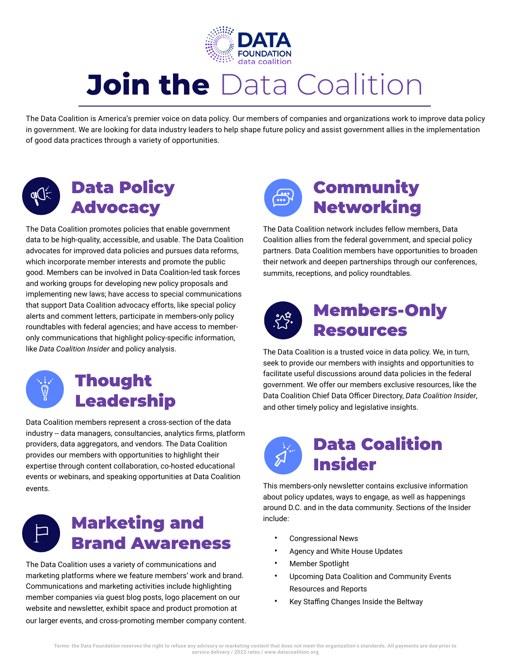

# **Join the** Data Coalition

The Data Coalition is America's premier voice on data policy. Our members of companies and organizations work to improve data policy in government. We are looking for data industry leaders to help shape future policy and assist government allies in the implementation of good data practices through a variety of opportunities.



# Data Policy Advocacy

The Data Coalition promotes policies that enable government data to be high-quality, accessible, and usable. The Data Coalition advocates for improved data policies and pursues data reforms, which incorporate member interests and promote the public good. Members can be involved in Data Coalition-led task forces and working groups for developing new policy proposals and implementing new laws; have access to special communications that support Data Coalition advocacy efforts, like special policy alerts and comment letters, participate in members-only policy roundtables with federal agencies; and have access to memberonly communications that highlight policy-specific information, like *Data Coalition Insider* and policy analysis.



# **Thought** Leadership

Data Coalition members represent a cross-section of the data industry -- data managers, consultancies, analytics firms, platform providers, data aggregators, and vendors. The Data Coalition provides our members with opportunities to highlight their expertise through content collaboration, co-hosted educational events or webinars, and speaking opportunities at Data Coalition events.



The Data Coalition uses a variety of communications and marketing platforms where we feature members' work and brand. Communications and marketing activities include highlighting member companies via guest blog posts, logo placement on our website and newsletter, exhibit space and product promotion at our larger events, and cross-promoting member company content.



The Data Coalition network includes fellow members, Data Coalition allies from the federal government, and special policy partners. Data Coalition members have opportunities to broaden their network and deepen partnerships through our conferences, summits, receptions, and policy roundtables.



## Members-Only Resources

The Data Coalition is a trusted voice in data policy. We, in turn, seek to provide our members with insights and opportunities to facilitate useful discussions around data policies in the federal government. We offer our members exclusive resources, like the Data Coalition Chief Data Officer Directory, *Data Coalition Insider*, and other timely policy and legislative insights.



This members-only newsletter contains exclusive information about policy updates, ways to engage, as well as happenings around D.C. and in the data community. Sections of the Insider include:

- Congressional News
- Agency and White House Updates
- Member Spotlight
- Upcoming Data Coalition and Community Events Resources and Reports
- Key Staffing Changes Inside the Beltway